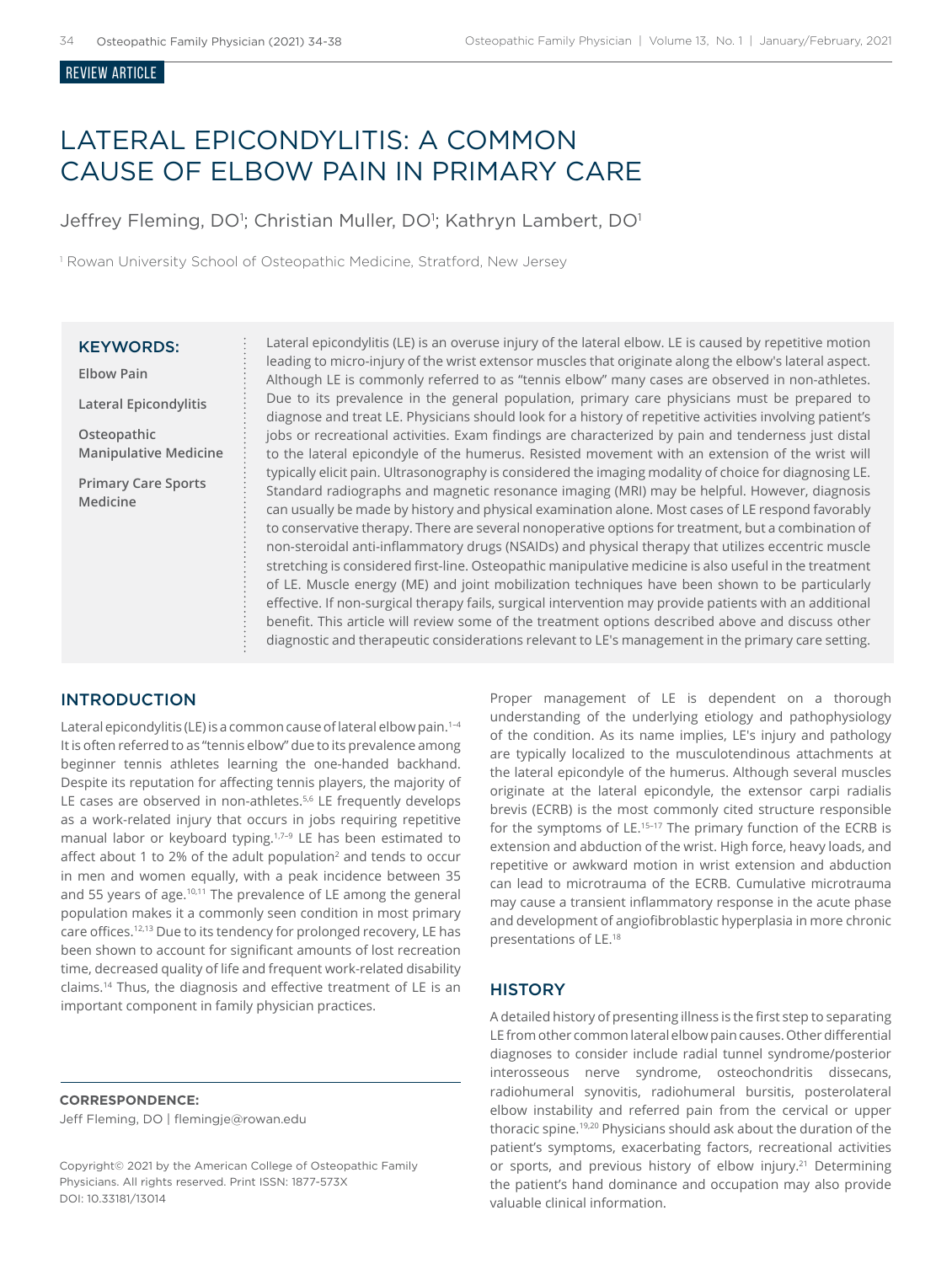#### Review ARTICLE

# LATERAL EPICONDYLITIS: A COMMON CAUSE OF ELBOW PAIN IN PRIMARY CARE

Jeffrey Fleming, DO<sup>1</sup>; Christian Muller, DO<sup>1</sup>; Kathryn Lambert, DO<sup>1</sup>

<sup>1</sup> Rowan University School of Osteopathic Medicine, Stratford, New Jersey

## KEYWORDS:

**Elbow Pain**

**Lateral Epicondylitis**

**Osteopathic Manipulative Medicine**

**Primary Care Sports Medicine**

Lateral epicondylitis (LE) is an overuse injury of the lateral elbow. LE is caused by repetitive motion leading to micro-injury of the wrist extensor muscles that originate along the elbow's lateral aspect. Although LE is commonly referred to as "tennis elbow" many cases are observed in non-athletes. Due to its prevalence in the general population, primary care physicians must be prepared to diagnose and treat LE. Physicians should look for a history of repetitive activities involving patient's jobs or recreational activities. Exam findings are characterized by pain and tenderness just distal to the lateral epicondyle of the humerus. Resisted movement with an extension of the wrist will typically elicit pain. Ultrasonography is considered the imaging modality of choice for diagnosing LE. Standard radiographs and magnetic resonance imaging (MRI) may be helpful. However, diagnosis can usually be made by history and physical examination alone. Most cases of LE respond favorably to conservative therapy. There are several nonoperative options for treatment, but a combination of non-steroidal anti-inflammatory drugs (NSAIDs) and physical therapy that utilizes eccentric muscle stretching is considered first-line. Osteopathic manipulative medicine is also useful in the treatment of LE. Muscle energy (ME) and joint mobilization techniques have been shown to be particularly effective. If non-surgical therapy fails, surgical intervention may provide patients with an additional benefit. This article will review some of the treatment options described above and discuss other diagnostic and therapeutic considerations relevant to LE's management in the primary care setting.

## INTRODUCTION

Lateral epicondylitis (LE) is a common cause of lateral elbow pain.<sup>1-4</sup> It is often referred to as "tennis elbow" due to its prevalence among beginner tennis athletes learning the one-handed backhand. Despite its reputation for affecting tennis players, the majority of LE cases are observed in non-athletes.<sup>5,6</sup> LE frequently develops as a work-related injury that occurs in jobs requiring repetitive manual labor or keyboard typing.<sup>1,7-9</sup> LE has been estimated to affect about 1 to 2% of the adult population<sup>2</sup> and tends to occur in men and women equally, with a peak incidence between 35 and 55 years of age.<sup>10,11</sup> The prevalence of LE among the general population makes it a commonly seen condition in most primary care offices.<sup>12,13</sup> Due to its tendency for prolonged recovery, LE has been shown to account for significant amounts of lost recreation time, decreased quality of life and frequent work-related disability claims.14 Thus, the diagnosis and effective treatment of LE is an important component in family physician practices.

**CORRESPONDENCE:**  Jeff Fleming, DO | flemingje@rowan.edu

Copyright© 2021 by the American College of Osteopathic Family Physicians. All rights reserved. Print ISSN: 1877-573X DOI: 10.33181/13014

Proper management of LE is dependent on a thorough understanding of the underlying etiology and pathophysiology of the condition. As its name implies, LE's injury and pathology are typically localized to the musculotendinous attachments at the lateral epicondyle of the humerus. Although several muscles originate at the lateral epicondyle, the extensor carpi radialis brevis (ECRB) is the most commonly cited structure responsible for the symptoms of LE.<sup>15-17</sup> The primary function of the ECRB is extension and abduction of the wrist. High force, heavy loads, and repetitive or awkward motion in wrist extension and abduction can lead to microtrauma of the ECRB. Cumulative microtrauma may cause a transient inflammatory response in the acute phase and development of angiofibroblastic hyperplasia in more chronic presentations of LE.18

## **HISTORY**

A detailed history of presenting illness is the first step to separating LE from other common lateral elbow pain causes. Other differential diagnoses to consider include radial tunnel syndrome/posterior interosseous nerve syndrome, osteochondritis dissecans, radiohumeral synovitis, radiohumeral bursitis, posterolateral elbow instability and referred pain from the cervical or upper thoracic spine.19,20 Physicians should ask about the duration of the patient's symptoms, exacerbating factors, recreational activities or sports, and previous history of elbow injury.<sup>21</sup> Determining the patient's hand dominance and occupation may also provide valuable clinical information.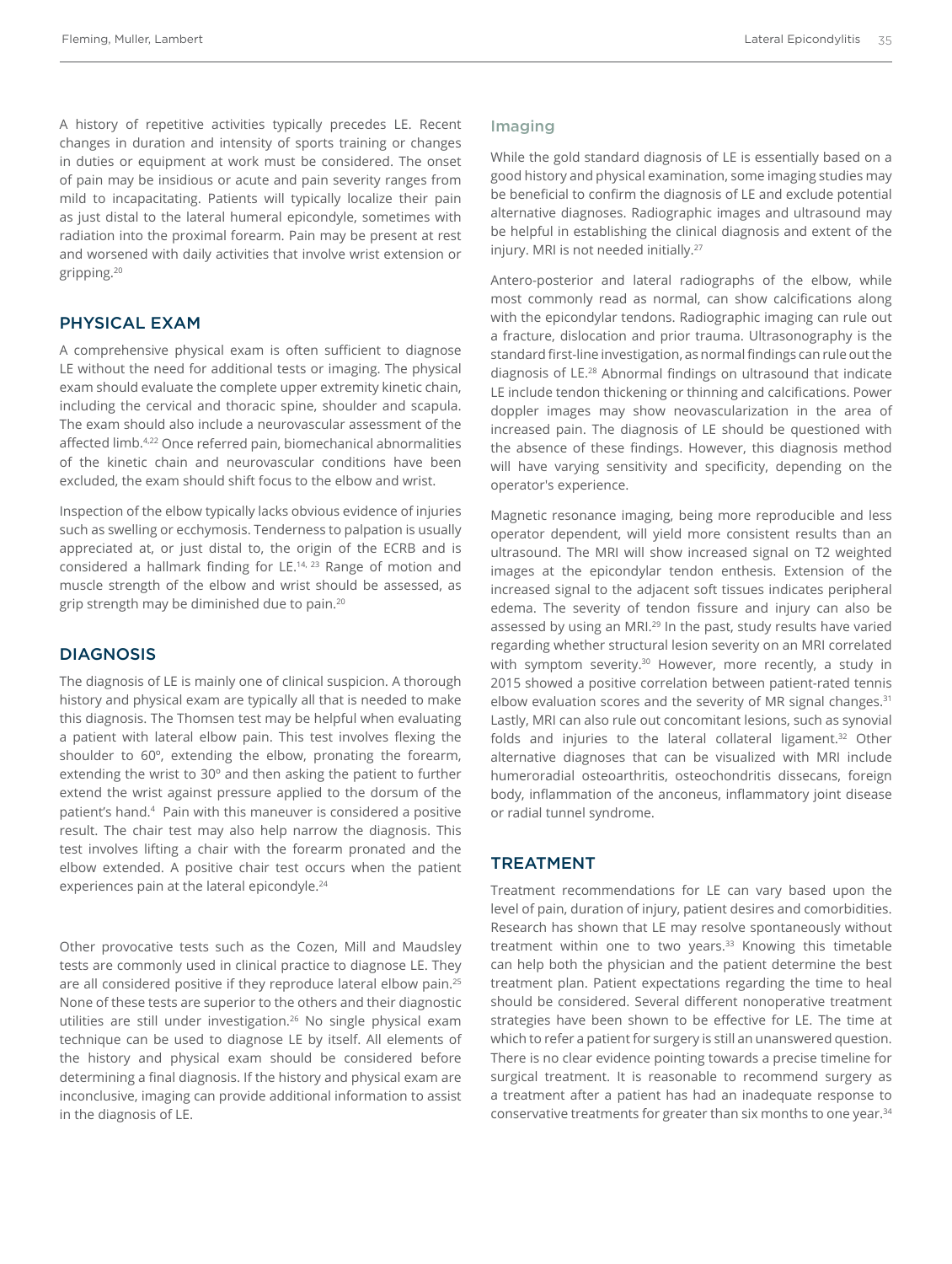A history of repetitive activities typically precedes LE. Recent changes in duration and intensity of sports training or changes in duties or equipment at work must be considered. The onset of pain may be insidious or acute and pain severity ranges from mild to incapacitating. Patients will typically localize their pain as just distal to the lateral humeral epicondyle, sometimes with radiation into the proximal forearm. Pain may be present at rest and worsened with daily activities that involve wrist extension or gripping.<sup>20</sup>

## PHYSICAL EXAM

A comprehensive physical exam is often sufficient to diagnose LE without the need for additional tests or imaging. The physical exam should evaluate the complete upper extremity kinetic chain, including the cervical and thoracic spine, shoulder and scapula. The exam should also include a neurovascular assessment of the affected limb.4,22 Once referred pain, biomechanical abnormalities of the kinetic chain and neurovascular conditions have been excluded, the exam should shift focus to the elbow and wrist.

Inspection of the elbow typically lacks obvious evidence of injuries such as swelling or ecchymosis. Tenderness to palpation is usually appreciated at, or just distal to, the origin of the ECRB and is considered a hallmark finding for LE.<sup>14, 23</sup> Range of motion and muscle strength of the elbow and wrist should be assessed, as grip strength may be diminished due to pain.<sup>20</sup>

## **DIAGNOSIS**

The diagnosis of LE is mainly one of clinical suspicion. A thorough history and physical exam are typically all that is needed to make this diagnosis. The Thomsen test may be helpful when evaluating a patient with lateral elbow pain. This test involves flexing the shoulder to 60º, extending the elbow, pronating the forearm, extending the wrist to 30º and then asking the patient to further extend the wrist against pressure applied to the dorsum of the patient's hand.<sup>4</sup> Pain with this maneuver is considered a positive result. The chair test may also help narrow the diagnosis. This test involves lifting a chair with the forearm pronated and the elbow extended. A positive chair test occurs when the patient experiences pain at the lateral epicondyle.<sup>24</sup>

Other provocative tests such as the Cozen, Mill and Maudsley tests are commonly used in clinical practice to diagnose LE. They are all considered positive if they reproduce lateral elbow pain.<sup>25</sup> None of these tests are superior to the others and their diagnostic utilities are still under investigation.<sup>26</sup> No single physical exam technique can be used to diagnose LE by itself. All elements of the history and physical exam should be considered before determining a final diagnosis. If the history and physical exam are inconclusive, imaging can provide additional information to assist in the diagnosis of LE.

#### Imaging

While the gold standard diagnosis of LE is essentially based on a good history and physical examination, some imaging studies may be beneficial to confirm the diagnosis of LE and exclude potential alternative diagnoses. Radiographic images and ultrasound may be helpful in establishing the clinical diagnosis and extent of the injury. MRI is not needed initially.<sup>27</sup>

Antero-posterior and lateral radiographs of the elbow, while most commonly read as normal, can show calcifications along with the epicondylar tendons. Radiographic imaging can rule out a fracture, dislocation and prior trauma. Ultrasonography is the standard first-line investigation, as normal findings can rule out the diagnosis of LE.28 Abnormal findings on ultrasound that indicate LE include tendon thickening or thinning and calcifications. Power doppler images may show neovascularization in the area of increased pain. The diagnosis of LE should be questioned with the absence of these findings. However, this diagnosis method will have varying sensitivity and specificity, depending on the operator's experience.

Magnetic resonance imaging, being more reproducible and less operator dependent, will yield more consistent results than an ultrasound. The MRI will show increased signal on T2 weighted images at the epicondylar tendon enthesis. Extension of the increased signal to the adjacent soft tissues indicates peripheral edema. The severity of tendon fissure and injury can also be assessed by using an MRI.<sup>29</sup> In the past, study results have varied regarding whether structural lesion severity on an MRI correlated with symptom severity.<sup>30</sup> However, more recently, a study in 2015 showed a positive correlation between patient-rated tennis elbow evaluation scores and the severity of MR signal changes.<sup>31</sup> Lastly, MRI can also rule out concomitant lesions, such as synovial folds and injuries to the lateral collateral ligament.<sup>32</sup> Other alternative diagnoses that can be visualized with MRI include humeroradial osteoarthritis, osteochondritis dissecans, foreign body, inflammation of the anconeus, inflammatory joint disease or radial tunnel syndrome.

## TREATMENT

Treatment recommendations for LE can vary based upon the level of pain, duration of injury, patient desires and comorbidities. Research has shown that LE may resolve spontaneously without treatment within one to two years.<sup>33</sup> Knowing this timetable can help both the physician and the patient determine the best treatment plan. Patient expectations regarding the time to heal should be considered. Several different nonoperative treatment strategies have been shown to be effective for LE. The time at which to refer a patient for surgery is still an unanswered question. There is no clear evidence pointing towards a precise timeline for surgical treatment. It is reasonable to recommend surgery as a treatment after a patient has had an inadequate response to conservative treatments for greater than six months to one year.<sup>34</sup>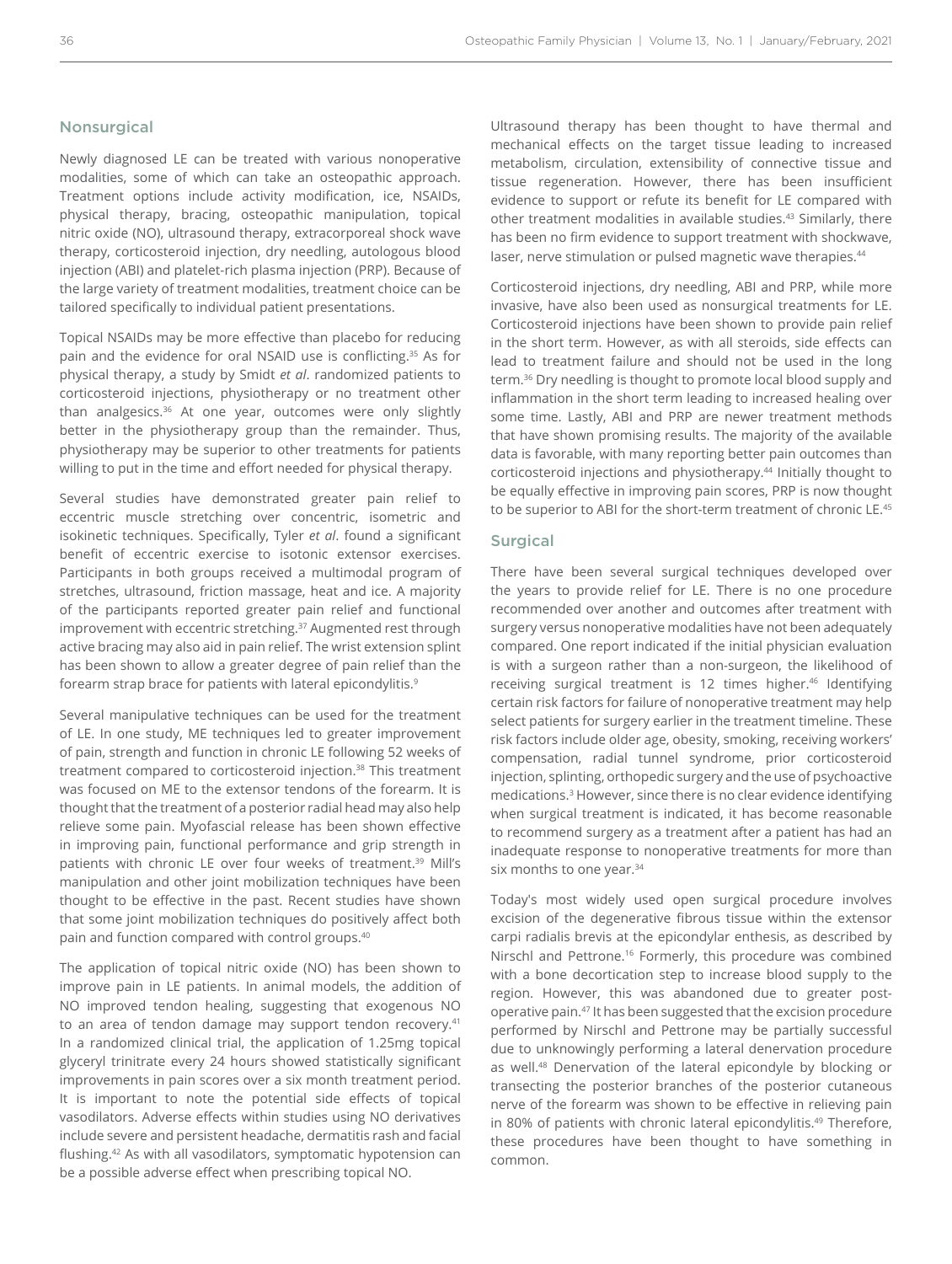### **Nonsurgical**

Newly diagnosed LE can be treated with various nonoperative modalities, some of which can take an osteopathic approach. Treatment options include activity modification, ice, NSAIDs, physical therapy, bracing, osteopathic manipulation, topical nitric oxide (NO), ultrasound therapy, extracorporeal shock wave therapy, corticosteroid injection, dry needling, autologous blood injection (ABI) and platelet-rich plasma injection (PRP). Because of the large variety of treatment modalities, treatment choice can be tailored specifically to individual patient presentations.

Topical NSAIDs may be more effective than placebo for reducing pain and the evidence for oral NSAID use is conflicting.35 As for physical therapy, a study by Smidt *et al*. randomized patients to corticosteroid injections, physiotherapy or no treatment other than analgesics.<sup>36</sup> At one year, outcomes were only slightly better in the physiotherapy group than the remainder. Thus, physiotherapy may be superior to other treatments for patients willing to put in the time and effort needed for physical therapy.

Several studies have demonstrated greater pain relief to eccentric muscle stretching over concentric, isometric and isokinetic techniques. Specifically, Tyler *et al*. found a significant benefit of eccentric exercise to isotonic extensor exercises. Participants in both groups received a multimodal program of stretches, ultrasound, friction massage, heat and ice. A majority of the participants reported greater pain relief and functional improvement with eccentric stretching.<sup>37</sup> Augmented rest through active bracing may also aid in pain relief. The wrist extension splint has been shown to allow a greater degree of pain relief than the forearm strap brace for patients with lateral epicondylitis.<sup>9</sup>

Several manipulative techniques can be used for the treatment of LE. In one study, ME techniques led to greater improvement of pain, strength and function in chronic LE following 52 weeks of treatment compared to corticosteroid injection.<sup>38</sup> This treatment was focused on ME to the extensor tendons of the forearm. It is thought that the treatment of a posterior radial head may also help relieve some pain. Myofascial release has been shown effective in improving pain, functional performance and grip strength in patients with chronic LE over four weeks of treatment.<sup>39</sup> Mill's manipulation and other joint mobilization techniques have been thought to be effective in the past. Recent studies have shown that some joint mobilization techniques do positively affect both pain and function compared with control groups.40

The application of topical nitric oxide (NO) has been shown to improve pain in LE patients. In animal models, the addition of NO improved tendon healing, suggesting that exogenous NO to an area of tendon damage may support tendon recovery.<sup>41</sup> In a randomized clinical trial, the application of 1.25mg topical glyceryl trinitrate every 24 hours showed statistically significant improvements in pain scores over a six month treatment period. It is important to note the potential side effects of topical vasodilators. Adverse effects within studies using NO derivatives include severe and persistent headache, dermatitis rash and facial flushing.42 As with all vasodilators, symptomatic hypotension can be a possible adverse effect when prescribing topical NO.

Ultrasound therapy has been thought to have thermal and mechanical effects on the target tissue leading to increased metabolism, circulation, extensibility of connective tissue and tissue regeneration. However, there has been insufficient evidence to support or refute its benefit for LE compared with other treatment modalities in available studies.<sup>43</sup> Similarly, there has been no firm evidence to support treatment with shockwave, laser, nerve stimulation or pulsed magnetic wave therapies.<sup>44</sup>

Corticosteroid injections, dry needling, ABI and PRP, while more invasive, have also been used as nonsurgical treatments for LE. Corticosteroid injections have been shown to provide pain relief in the short term. However, as with all steroids, side effects can lead to treatment failure and should not be used in the long term.<sup>36</sup> Dry needling is thought to promote local blood supply and inflammation in the short term leading to increased healing over some time. Lastly, ABI and PRP are newer treatment methods that have shown promising results. The majority of the available data is favorable, with many reporting better pain outcomes than corticosteroid injections and physiotherapy.<sup>44</sup> Initially thought to be equally effective in improving pain scores, PRP is now thought to be superior to ABI for the short-term treatment of chronic LE.45

#### Surgical

There have been several surgical techniques developed over the years to provide relief for LE. There is no one procedure recommended over another and outcomes after treatment with surgery versus nonoperative modalities have not been adequately compared. One report indicated if the initial physician evaluation is with a surgeon rather than a non-surgeon, the likelihood of receiving surgical treatment is 12 times higher.<sup>46</sup> Identifying certain risk factors for failure of nonoperative treatment may help select patients for surgery earlier in the treatment timeline. These risk factors include older age, obesity, smoking, receiving workers' compensation, radial tunnel syndrome, prior corticosteroid injection, splinting, orthopedic surgery and the use of psychoactive medications.<sup>3</sup> However, since there is no clear evidence identifying when surgical treatment is indicated, it has become reasonable to recommend surgery as a treatment after a patient has had an inadequate response to nonoperative treatments for more than six months to one year.<sup>34</sup>

Today's most widely used open surgical procedure involves excision of the degenerative fibrous tissue within the extensor carpi radialis brevis at the epicondylar enthesis, as described by Nirschl and Pettrone.16 Formerly, this procedure was combined with a bone decortication step to increase blood supply to the region. However, this was abandoned due to greater postoperative pain.47 It has been suggested that the excision procedure performed by Nirschl and Pettrone may be partially successful due to unknowingly performing a lateral denervation procedure as well.48 Denervation of the lateral epicondyle by blocking or transecting the posterior branches of the posterior cutaneous nerve of the forearm was shown to be effective in relieving pain in 80% of patients with chronic lateral epicondylitis.<sup>49</sup> Therefore, these procedures have been thought to have something in common.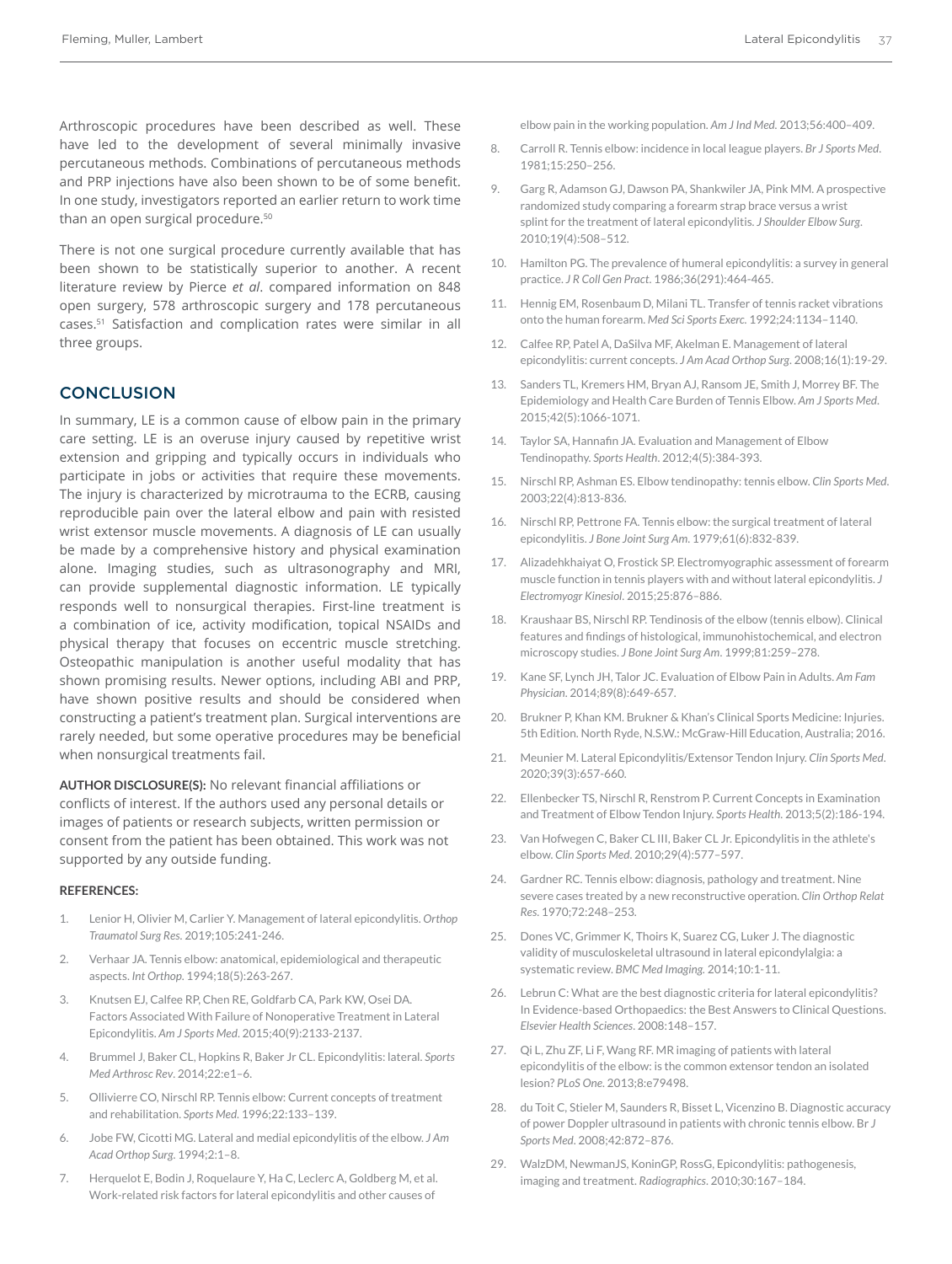Arthroscopic procedures have been described as well. These have led to the development of several minimally invasive percutaneous methods. Combinations of percutaneous methods and PRP injections have also been shown to be of some benefit. In one study, investigators reported an earlier return to work time than an open surgical procedure.<sup>50</sup>

There is not one surgical procedure currently available that has been shown to be statistically superior to another. A recent literature review by Pierce *et al*. compared information on 848 open surgery, 578 arthroscopic surgery and 178 percutaneous cases.51 Satisfaction and complication rates were similar in all three groups.

## **CONCLUSION**

In summary, LE is a common cause of elbow pain in the primary care setting. LE is an overuse injury caused by repetitive wrist extension and gripping and typically occurs in individuals who participate in jobs or activities that require these movements. The injury is characterized by microtrauma to the ECRB, causing reproducible pain over the lateral elbow and pain with resisted wrist extensor muscle movements. A diagnosis of LE can usually be made by a comprehensive history and physical examination alone. Imaging studies, such as ultrasonography and MRI, can provide supplemental diagnostic information. LE typically responds well to nonsurgical therapies. First-line treatment is a combination of ice, activity modification, topical NSAIDs and physical therapy that focuses on eccentric muscle stretching. Osteopathic manipulation is another useful modality that has shown promising results. Newer options, including ABI and PRP, have shown positive results and should be considered when constructing a patient's treatment plan. Surgical interventions are rarely needed, but some operative procedures may be beneficial when nonsurgical treatments fail.

**AUTHOR DISCLOSURE(S):** No relevant financial affiliations or conflicts of interest. If the authors used any personal details or images of patients or research subjects, written permission or consent from the patient has been obtained. This work was not supported by any outside funding.

#### **REFERENCES:**

- 1. Lenior H, Olivier M, Carlier Y. Management of lateral epicondylitis. *Orthop Traumatol Surg Res*. 2019;105:241-246.
- 2. Verhaar JA. Tennis elbow: anatomical, epidemiological and therapeutic aspects. *Int Orthop*. 1994;18(5):263-267.
- 3. Knutsen EJ, Calfee RP, Chen RE, Goldfarb CA, Park KW, Osei DA. Factors Associated With Failure of Nonoperative Treatment in Lateral Epicondylitis. *Am J Sports Med*. 2015;40(9):2133-2137.
- 4. Brummel J, Baker CL, Hopkins R, Baker Jr CL. Epicondylitis: lateral. *Sports Med Arthrosc Rev*. 2014;22:e1–6.
- 5. Ollivierre CO, Nirschl RP. Tennis elbow: Current concepts of treatment and rehabilitation. *Sports Med*. 1996;22:133–139.
- 6. Jobe FW, Cicotti MG. Lateral and medial epicondylitis of the elbow. *J Am Acad Orthop Surg*. 1994;2:1–8.
- Herquelot E, Bodin J, Roquelaure Y, Ha C, Leclerc A, Goldberg M, et al. Work-related risk factors for lateral epicondylitis and other causes of

elbow pain in the working population. *Am J Ind Med.* 2013;56:400–409.

- 8. Carroll R. Tennis elbow: incidence in local league players. *Br J Sports Med*. 1981;15:250–256.
- 9. Garg R, Adamson GJ, Dawson PA, Shankwiler JA, Pink MM. A prospective randomized study comparing a forearm strap brace versus a wrist splint for the treatment of lateral epicondylitis. *J Shoulder Elbow Surg*. 2010;19(4):508–512.
- 10. Hamilton PG. The prevalence of humeral epicondylitis: a survey in general practice. *J R Coll Gen Pract*. 1986;36(291):464-465.
- 11. Hennig EM, Rosenbaum D, Milani TL. Transfer of tennis racket vibrations onto the human forearm. *Med Sci Sports Exerc.* 1992;24:1134–1140.
- 12. Calfee RP, Patel A, DaSilva MF, Akelman E. Management of lateral epicondylitis: current concepts. *J Am Acad Orthop Surg*. 2008;16(1):19-29.
- 13. Sanders TL, Kremers HM, Bryan AJ, Ransom JE, Smith J, Morrey BF. The Epidemiology and Health Care Burden of Tennis Elbow. *Am J Sports Med*. 2015;42(5):1066-1071.
- 14. Taylor SA, Hannafin JA. Evaluation and Management of Elbow Tendinopathy. *Sports Health*. 2012;4(5):384-393.
- 15. Nirschl RP, Ashman ES. Elbow tendinopathy: tennis elbow. *Clin Sports Med*. 2003;22(4):813-836.
- 16. Nirschl RP, Pettrone FA. Tennis elbow: the surgical treatment of lateral epicondylitis. *J Bone Joint Surg Am*. 1979;61(6):832-839.
- 17. Alizadehkhaiyat O, Frostick SP. Electromyographic assessment of forearm muscle function in tennis players with and without lateral epicondylitis. *J Electromyogr Kinesiol*. 2015;25:876–886.
- 18. Kraushaar BS, Nirschl RP. Tendinosis of the elbow (tennis elbow). Clinical features and findings of histological, immunohistochemical, and electron microscopy studies. *J Bone Joint Surg Am*. 1999;81:259–278.
- 19. Kane SF, Lynch JH, Talor JC. Evaluation of Elbow Pain in Adults. *Am Fam Physician*. 2014;89(8):649-657.
- 20. Brukner P, Khan KM. Brukner & Khan's Clinical Sports Medicine: Injuries. 5th Edition. North Ryde, N.S.W.: McGraw-Hill Education, Australia; 2016.
- 21. Meunier M. Lateral Epicondylitis/Extensor Tendon Injury. *Clin Sports Med*. 2020;39(3):657-660.
- 22. Ellenbecker TS, Nirschl R, Renstrom P. Current Concepts in Examination and Treatment of Elbow Tendon Injury. *Sports Health*. 2013;5(2):186-194.
- 23. Van Hofwegen C, Baker CL III, Baker CL Jr. Epicondylitis in the athlete's elbow. *Clin Sports Med*. 2010;29(4):577–597.
- 24. Gardner RC. Tennis elbow: diagnosis, pathology and treatment. Nine severe cases treated by a new reconstructive operation. *Clin Orthop Relat Res*. 1970;72:248–253.
- 25. Dones VC, Grimmer K, Thoirs K, Suarez CG, Luker J. The diagnostic validity of musculoskeletal ultrasound in lateral epicondylalgia: a systematic review. *BMC Med Imaging.* 2014;10:1-11.
- 26. Lebrun C: What are the best diagnostic criteria for lateral epicondylitis? In Evidence-based Orthopaedics: the Best Answers to Clinical Questions. *Elsevier Health Sciences*. 2008:148–157.
- 27. Qi L, Zhu ZF, Li F, Wang RF. MR imaging of patients with lateral epicondylitis of the elbow: is the common extensor tendon an isolated lesion? *PLoS One*. 2013;8:e79498.
- 28. du Toit C, Stieler M, Saunders R, Bisset L, Vicenzino B. Diagnostic accuracy of power Doppler ultrasound in patients with chronic tennis elbow. Br *J Sports Med*. 2008;42:872–876.
- 29. WalzDM, NewmanJS, KoninGP, RossG, Epicondylitis: pathogenesis, imaging and treatment. *Radiographics*. 2010;30:167–184.